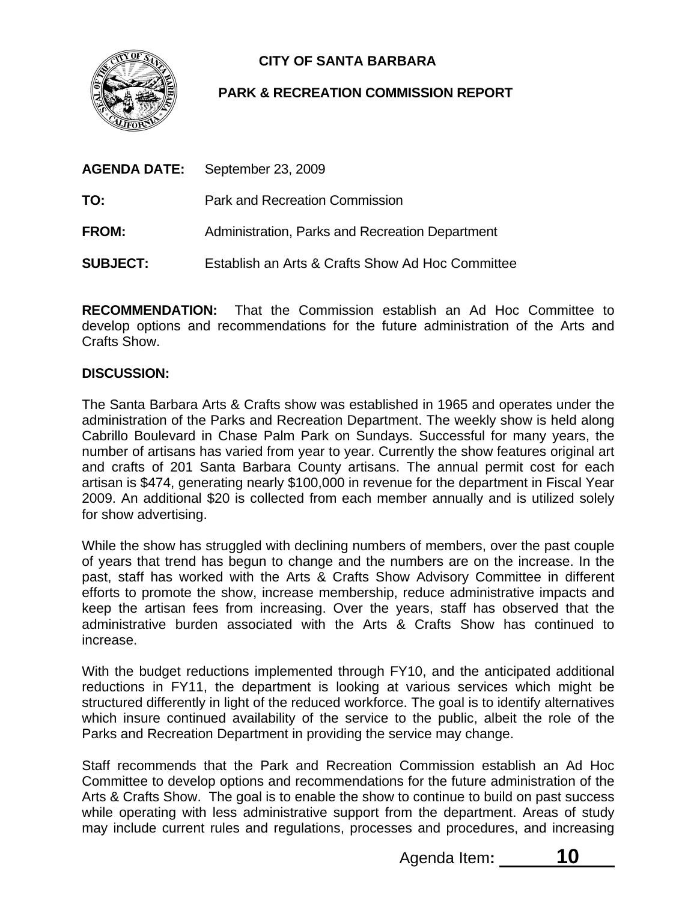

# **CITY OF SANTA BARBARA**

## **PARK & RECREATION COMMISSION REPORT**

| <b>AGENDA DATE:</b> | September 23, 2009                               |
|---------------------|--------------------------------------------------|
| TO:                 | <b>Park and Recreation Commission</b>            |
| <b>FROM:</b>        | Administration, Parks and Recreation Department  |
| <b>SUBJECT:</b>     | Establish an Arts & Crafts Show Ad Hoc Committee |

**RECOMMENDATION:** That the Commission establish an Ad Hoc Committee to develop options and recommendations for the future administration of the Arts and Crafts Show.

#### **DISCUSSION:**

The Santa Barbara Arts & Crafts show was established in 1965 and operates under the administration of the Parks and Recreation Department. The weekly show is held along Cabrillo Boulevard in Chase Palm Park on Sundays. Successful for many years, the number of artisans has varied from year to year. Currently the show features original art and crafts of 201 Santa Barbara County artisans. The annual permit cost for each artisan is \$474, generating nearly \$100,000 in revenue for the department in Fiscal Year 2009. An additional \$20 is collected from each member annually and is utilized solely for show advertising.

While the show has struggled with declining numbers of members, over the past couple of years that trend has begun to change and the numbers are on the increase. In the past, staff has worked with the Arts & Crafts Show Advisory Committee in different efforts to promote the show, increase membership, reduce administrative impacts and keep the artisan fees from increasing. Over the years, staff has observed that the administrative burden associated with the Arts & Crafts Show has continued to increase.

With the budget reductions implemented through FY10, and the anticipated additional reductions in FY11, the department is looking at various services which might be structured differently in light of the reduced workforce. The goal is to identify alternatives which insure continued availability of the service to the public, albeit the role of the Parks and Recreation Department in providing the service may change.

Staff recommends that the Park and Recreation Commission establish an Ad Hoc Committee to develop options and recommendations for the future administration of the Arts & Crafts Show. The goal is to enable the show to continue to build on past success while operating with less administrative support from the department. Areas of study may include current rules and regulations, processes and procedures, and increasing

Agenda Item**: 10**